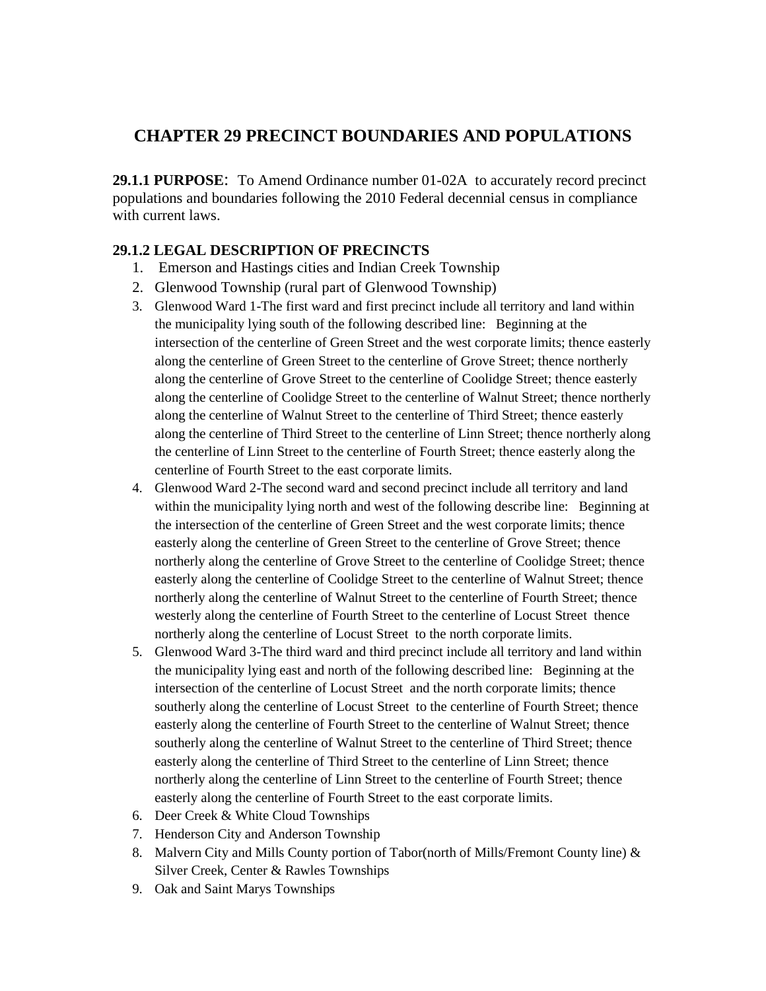## **CHAPTER 29 PRECINCT BOUNDARIES AND POPULATIONS**

**29.1.1 PURPOSE**: To Amend Ordinance number 01-02A to accurately record precinct populations and boundaries following the 2010 Federal decennial census in compliance with current laws.

## **29.1.2 LEGAL DESCRIPTION OF PRECINCTS**

- 1. Emerson and Hastings cities and Indian Creek Township
- 2. Glenwood Township (rural part of Glenwood Township)
- 3. Glenwood Ward 1-The first ward and first precinct include all territory and land within the municipality lying south of the following described line: Beginning at the intersection of the centerline of Green Street and the west corporate limits; thence easterly along the centerline of Green Street to the centerline of Grove Street; thence northerly along the centerline of Grove Street to the centerline of Coolidge Street; thence easterly along the centerline of Coolidge Street to the centerline of Walnut Street; thence northerly along the centerline of Walnut Street to the centerline of Third Street; thence easterly along the centerline of Third Street to the centerline of Linn Street; thence northerly along the centerline of Linn Street to the centerline of Fourth Street; thence easterly along the centerline of Fourth Street to the east corporate limits.
- 4. Glenwood Ward 2-The second ward and second precinct include all territory and land within the municipality lying north and west of the following describe line: Beginning at the intersection of the centerline of Green Street and the west corporate limits; thence easterly along the centerline of Green Street to the centerline of Grove Street; thence northerly along the centerline of Grove Street to the centerline of Coolidge Street; thence easterly along the centerline of Coolidge Street to the centerline of Walnut Street; thence northerly along the centerline of Walnut Street to the centerline of Fourth Street; thence westerly along the centerline of Fourth Street to the centerline of Locust Street thence northerly along the centerline of Locust Street to the north corporate limits.
- 5. Glenwood Ward 3-The third ward and third precinct include all territory and land within the municipality lying east and north of the following described line: Beginning at the intersection of the centerline of Locust Street and the north corporate limits; thence southerly along the centerline of Locust Street to the centerline of Fourth Street; thence easterly along the centerline of Fourth Street to the centerline of Walnut Street; thence southerly along the centerline of Walnut Street to the centerline of Third Street; thence easterly along the centerline of Third Street to the centerline of Linn Street; thence northerly along the centerline of Linn Street to the centerline of Fourth Street; thence easterly along the centerline of Fourth Street to the east corporate limits.
- 6. Deer Creek & White Cloud Townships
- 7. Henderson City and Anderson Township
- 8. Malvern City and Mills County portion of Tabor(north of Mills/Fremont County line) & Silver Creek, Center & Rawles Townships
- 9. Oak and Saint Marys Townships